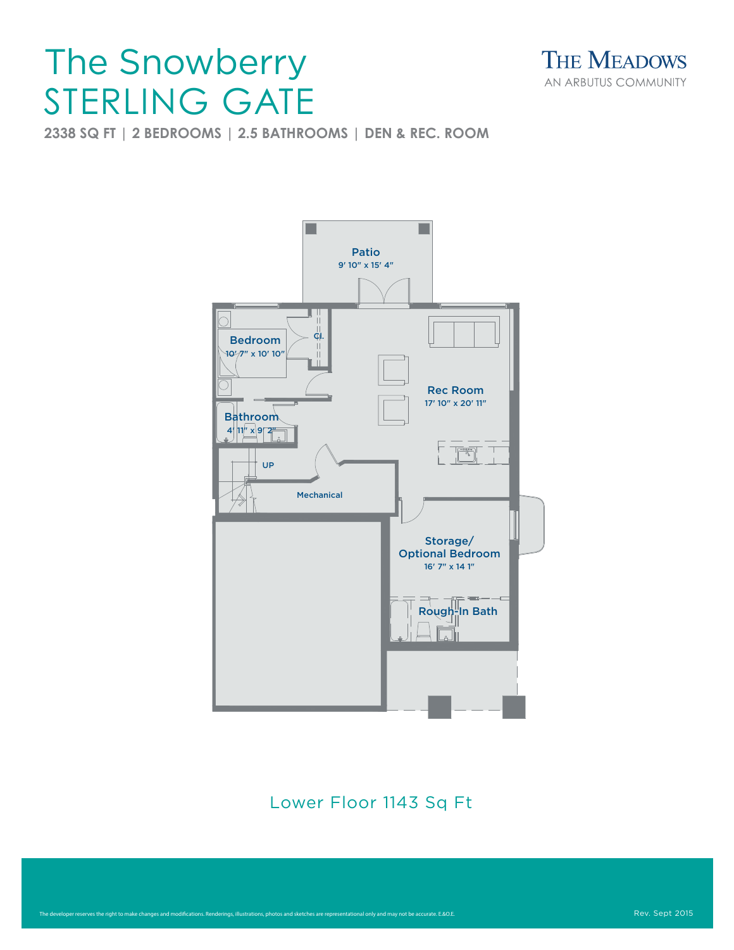## STERLING GATE The Snowberry



**2338 SQ FT | 2 BEDROOMS | 2.5 BATHROOMS | DEN & REC. ROOM**



Lower Floor 1143 Sq Ft

Lower Floor

Main Floor